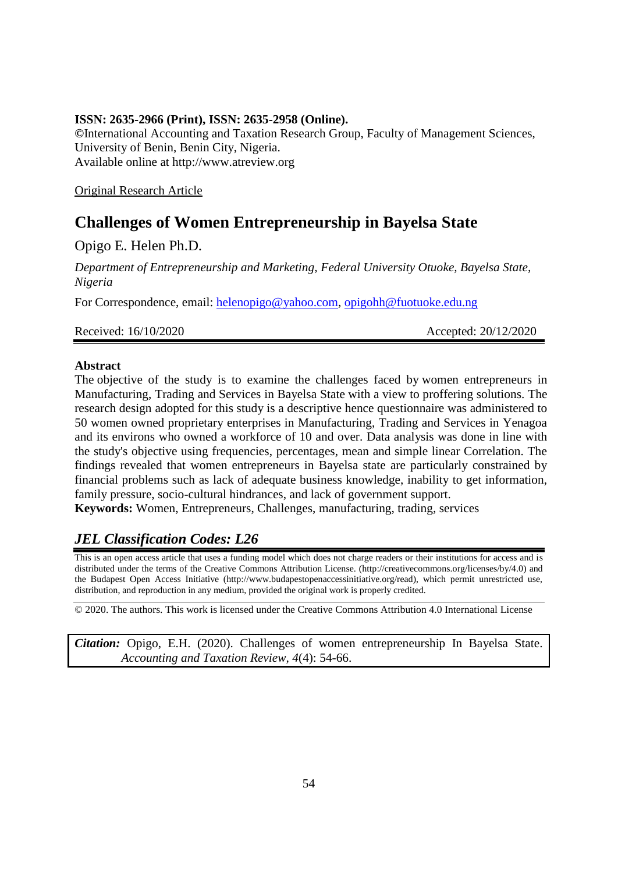## **ISSN: 2635-2966 (Print), ISSN: 2635-2958 (Online).**

**©**International Accounting and Taxation Research Group, Faculty of Management Sciences, University of Benin, Benin City, Nigeria. Available online at http://www.atreview.org

Original Research Article

# **Challenges of Women Entrepreneurship in Bayelsa State**

Opigo E. Helen Ph.D.

*Department of Entrepreneurship and Marketing, Federal University Otuoke, Bayelsa State, Nigeria*

For Correspondence, email: [helenopigo@yahoo.com,](mailto:helenopigo@yahoo.com) [opigohh@fuotuoke.edu.ng](mailto:opigohh@fuotuoke.edu.ng)

Received: 16/10/2020 **Accepted: 20/12/2020** 

#### **Abstract**

The objective of the study is to examine the challenges faced by women entrepreneurs in Manufacturing, Trading and Services in Bayelsa State with a view to proffering solutions. The research design adopted for this study is a descriptive hence questionnaire was administered to 50 women owned proprietary enterprises in Manufacturing, Trading and Services in Yenagoa and its environs who owned a workforce of 10 and over. Data analysis was done in line with the study's objective using frequencies, percentages, mean and simple linear Correlation. The findings revealed that women entrepreneurs in Bayelsa state are particularly constrained by financial problems such as lack of adequate business knowledge, inability to get information, family pressure, socio-cultural hindrances, and lack of government support.

**Keywords:** Women, Entrepreneurs, Challenges, manufacturing, trading, services

# *JEL Classification Codes: L26*

This is an open access article that uses a funding model which does not charge readers or their institutions for access and is distributed under the terms of the Creative Commons Attribution License. (http://creativecommons.org/licenses/by/4.0) and the Budapest Open Access Initiative (http://www.budapestopenaccessinitiative.org/read), which permit unrestricted use, distribution, and reproduction in any medium, provided the original work is properly credited.

© 2020. The authors. This work is licensed under the Creative Commons Attribution 4.0 International License

*Citation:* Opigo, E.H. (2020). Challenges of women entrepreneurship In Bayelsa State. *Accounting and Taxation Review, 4*(4): 54-66.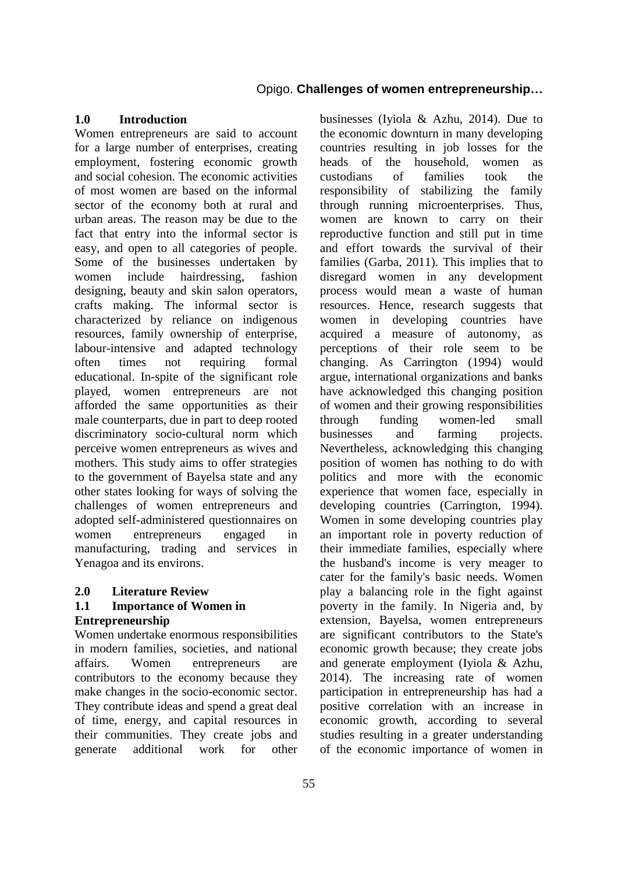#### **1.0 Introduction**

Women entrepreneurs are said to account for a large number of enterprises, creating employment, fostering economic growth and social cohesion. The economic activities of most women are based on the informal sector of the economy both at rural and urban areas. The reason may be due to the fact that entry into the informal sector is easy, and open to all categories of people. Some of the businesses undertaken by women include hairdressing, fashion designing, beauty and skin salon operators, crafts making. The informal sector is characterized by reliance on indigenous resources, family ownership of enterprise, labour-intensive and adapted technology often times not requiring formal educational. In-spite of the significant role played, women entrepreneurs are not afforded the same opportunities as their male counterparts, due in part to deep rooted discriminatory socio-cultural norm which perceive women entrepreneurs as wives and mothers. This study aims to offer strategies to the government of Bayelsa state and any other states looking for ways of solving the challenges of women entrepreneurs and adopted self-administered questionnaires on women entrepreneurs engaged in manufacturing, trading and services in Yenagoa and its environs.

#### **2.0 Literature Review**

## **1.1 Importance of Women in Entrepreneurship**

Women undertake enormous responsibilities in modern families, societies, and national affairs. Women entrepreneurs are contributors to the economy because they make changes in the socio-economic sector. They contribute ideas and spend a great deal of time, energy, and capital resources in their communities. They create jobs and generate additional work for other

businesses (Iyiola & Azhu, 2014). Due to the economic downturn in many developing countries resulting in job losses for the heads of the household, women as custodians of families took the responsibility of stabilizing the family through running microenterprises. Thus, women are known to carry on their reproductive function and still put in time and effort towards the survival of their families (Garba, 2011). This implies that to disregard women in any development process would mean a waste of human resources. Hence, research suggests that women in developing countries have acquired a measure of autonomy, as perceptions of their role seem to be changing. As Carrington (1994) would argue, international organizations and banks have acknowledged this changing position of women and their growing responsibilities through funding women-led small businesses and farming projects. Nevertheless, acknowledging this changing position of women has nothing to do with politics and more with the economic experience that women face, especially in developing countries (Carrington, 1994). Women in some developing countries play an important role in poverty reduction of their immediate families, especially where the husband's income is very meager to cater for the family's basic needs. Women play a balancing role in the fight against poverty in the family. In Nigeria and, by extension, Bayelsa, women entrepreneurs are significant contributors to the State's economic growth because; they create jobs and generate employment (Iyiola & Azhu, 2014). The increasing rate of women participation in entrepreneurship has had a positive correlation with an increase in economic growth, according to several studies resulting in a greater understanding of the economic importance of women in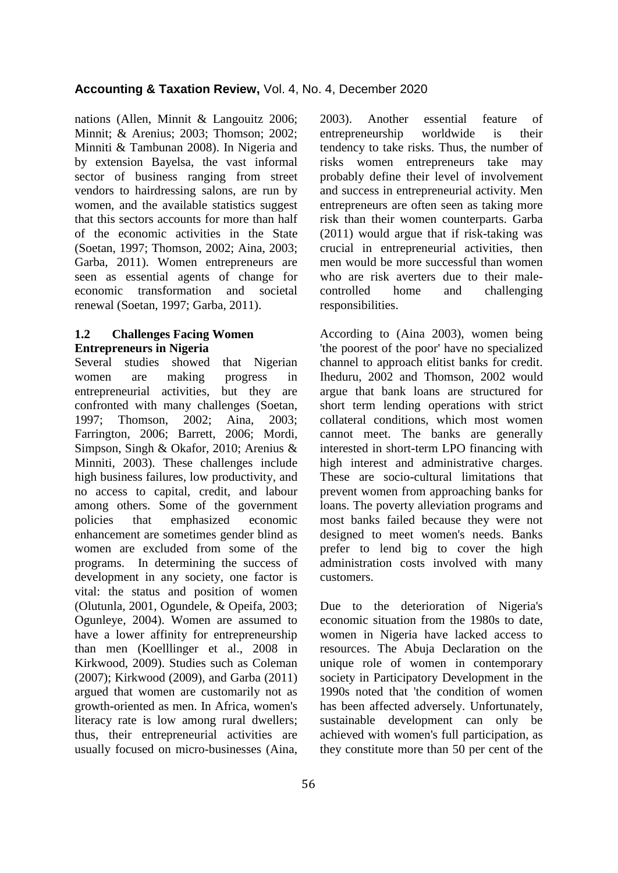nations (Allen, Minnit & Langouitz 2006; Minnit; & Arenius; 2003; Thomson; 2002; Minniti & Tambunan 2008). In Nigeria and by extension Bayelsa, the vast informal sector of business ranging from street vendors to hairdressing salons, are run by women, and the available statistics suggest that this sectors accounts for more than half of the economic activities in the State (Soetan, 1997; Thomson, 2002; Aina, 2003; Garba, 2011). Women entrepreneurs are seen as essential agents of change for economic transformation and societal renewal (Soetan, 1997; Garba, 2011).

## **1.2 Challenges Facing Women Entrepreneurs in Nigeria**

Several studies showed that Nigerian women are making progress in entrepreneurial activities, but they are confronted with many challenges (Soetan, 1997; Thomson, 2002; Aina, 2003; Farrington, 2006; Barrett, 2006; Mordi, Simpson, Singh & Okafor, 2010; Arenius & Minniti, 2003). These challenges include high business failures, low productivity, and no access to capital, credit, and labour among others. Some of the government policies that emphasized economic enhancement are sometimes gender blind as women are excluded from some of the programs. In determining the success of development in any society, one factor is vital: the status and position of women (Olutunla, 2001, Ogundele, & Opeifa, 2003; Ogunleye, 2004). Women are assumed to have a lower affinity for entrepreneurship than men (Koelllinger et al., 2008 in Kirkwood, 2009). Studies such as Coleman (2007); Kirkwood (2009), and Garba (2011) argued that women are customarily not as growth-oriented as men. In Africa, women's literacy rate is low among rural dwellers; thus, their entrepreneurial activities are usually focused on micro-businesses (Aina,

56

2003). Another essential feature of entrepreneurship worldwide is their tendency to take risks. Thus, the number of risks women entrepreneurs take may probably define their level of involvement and success in entrepreneurial activity. Men entrepreneurs are often seen as taking more risk than their women counterparts. Garba (2011) would argue that if risk-taking was crucial in entrepreneurial activities, then men would be more successful than women who are risk averters due to their malecontrolled home and challenging responsibilities.

According to (Aina 2003), women being 'the poorest of the poor' have no specialized channel to approach elitist banks for credit. Iheduru, 2002 and Thomson, 2002 would argue that bank loans are structured for short term lending operations with strict collateral conditions, which most women cannot meet. The banks are generally interested in short-term LPO financing with high interest and administrative charges. These are socio-cultural limitations that prevent women from approaching banks for loans. The poverty alleviation programs and most banks failed because they were not designed to meet women's needs. Banks prefer to lend big to cover the high administration costs involved with many customers.

Due to the deterioration of Nigeria's economic situation from the 1980s to date, women in Nigeria have lacked access to resources. The Abuja Declaration on the unique role of women in contemporary society in Participatory Development in the 1990s noted that 'the condition of women has been affected adversely. Unfortunately, sustainable development can only be achieved with women's full participation, as they constitute more than 50 per cent of the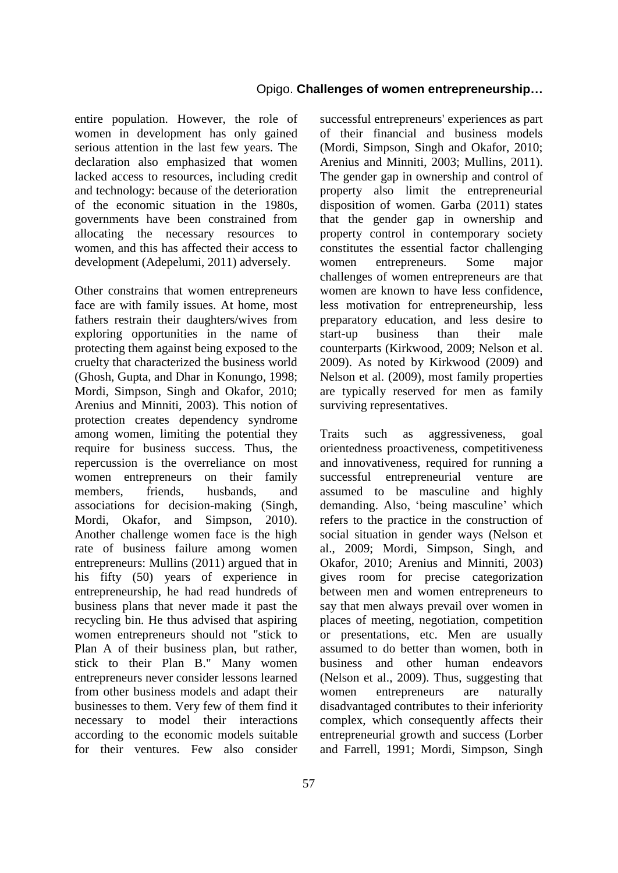entire population. However, the role of women in development has only gained serious attention in the last few years. The declaration also emphasized that women lacked access to resources, including credit and technology: because of the deterioration of the economic situation in the 1980s, governments have been constrained from allocating the necessary resources to women, and this has affected their access to development (Adepelumi, 2011) adversely.

Other constrains that women entrepreneurs face are with family issues. At home, most fathers restrain their daughters/wives from exploring opportunities in the name of protecting them against being exposed to the cruelty that characterized the business world (Ghosh, Gupta, and Dhar in Konungo, 1998; Mordi, Simpson, Singh and Okafor, 2010; Arenius and Minniti, 2003). This notion of protection creates dependency syndrome among women, limiting the potential they require for business success. Thus, the repercussion is the overreliance on most women entrepreneurs on their family members, friends, husbands, and associations for decision-making (Singh, Mordi, Okafor, and Simpson, 2010). Another challenge women face is the high rate of business failure among women entrepreneurs: Mullins (2011) argued that in his fifty (50) years of experience in entrepreneurship, he had read hundreds of business plans that never made it past the recycling bin. He thus advised that aspiring women entrepreneurs should not "stick to Plan A of their business plan, but rather, stick to their Plan B." Many women entrepreneurs never consider lessons learned from other business models and adapt their businesses to them. Very few of them find it necessary to model their interactions according to the economic models suitable for their ventures. Few also consider

successful entrepreneurs' experiences as part of their financial and business models (Mordi, Simpson, Singh and Okafor, 2010; Arenius and Minniti, 2003; Mullins, 2011). The gender gap in ownership and control of property also limit the entrepreneurial disposition of women. Garba (2011) states that the gender gap in ownership and property control in contemporary society constitutes the essential factor challenging women entrepreneurs. Some major challenges of women entrepreneurs are that women are known to have less confidence, less motivation for entrepreneurship, less preparatory education, and less desire to start-up business than their male counterparts (Kirkwood, 2009; Nelson et al. 2009). As noted by Kirkwood (2009) and Nelson et al. (2009), most family properties are typically reserved for men as family surviving representatives.

Traits such as aggressiveness, goal orientedness proactiveness, competitiveness and innovativeness, required for running a successful entrepreneurial venture are assumed to be masculine and highly demanding. Also, 'being masculine' which refers to the practice in the construction of social situation in gender ways (Nelson et al., 2009; Mordi, Simpson, Singh, and Okafor, 2010; Arenius and Minniti, 2003) gives room for precise categorization between men and women entrepreneurs to say that men always prevail over women in places of meeting, negotiation, competition or presentations, etc. Men are usually assumed to do better than women, both in business and other human endeavors (Nelson et al., 2009). Thus, suggesting that women entrepreneurs are naturally disadvantaged contributes to their inferiority complex, which consequently affects their entrepreneurial growth and success (Lorber and Farrell, 1991; Mordi, Simpson, Singh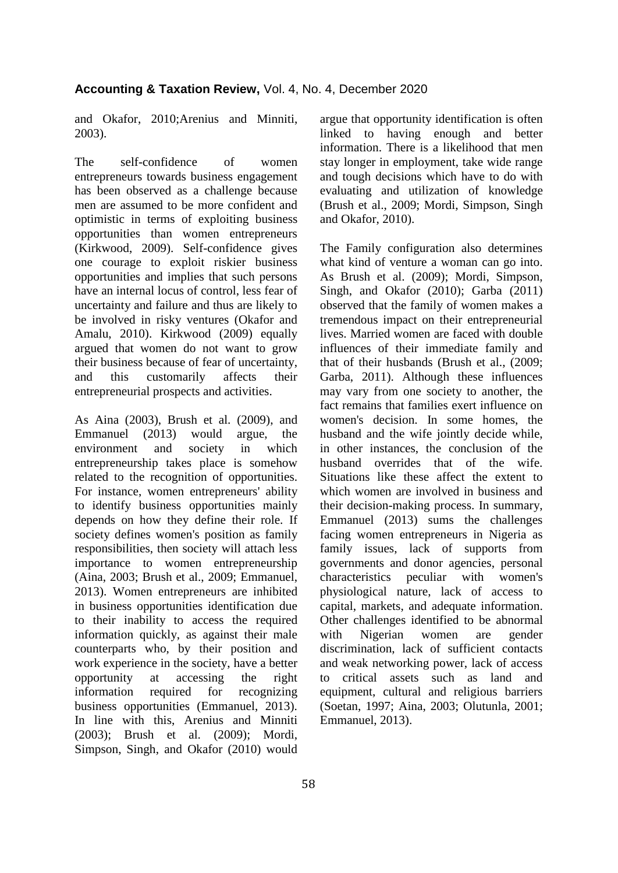and Okafor, 2010;Arenius and Minniti, 2003).

The self-confidence of women entrepreneurs towards business engagement has been observed as a challenge because men are assumed to be more confident and optimistic in terms of exploiting business opportunities than women entrepreneurs (Kirkwood, 2009). Self-confidence gives one courage to exploit riskier business opportunities and implies that such persons have an internal locus of control, less fear of uncertainty and failure and thus are likely to be involved in risky ventures (Okafor and Amalu, 2010). Kirkwood (2009) equally argued that women do not want to grow their business because of fear of uncertainty, and this customarily affects their entrepreneurial prospects and activities.

As Aina (2003), Brush et al. (2009), and Emmanuel (2013) would argue, the environment and society in which entrepreneurship takes place is somehow related to the recognition of opportunities. For instance, women entrepreneurs' ability to identify business opportunities mainly depends on how they define their role. If society defines women's position as family responsibilities, then society will attach less importance to women entrepreneurship (Aina, 2003; Brush et al., 2009; Emmanuel, 2013). Women entrepreneurs are inhibited in business opportunities identification due to their inability to access the required information quickly, as against their male counterparts who, by their position and work experience in the society, have a better opportunity at accessing the right information required for recognizing business opportunities (Emmanuel, 2013). In line with this, Arenius and Minniti (2003); Brush et al. (2009); Mordi, Simpson, Singh, and Okafor (2010) would

argue that opportunity identification is often linked to having enough and better information. There is a likelihood that men stay longer in employment, take wide range and tough decisions which have to do with evaluating and utilization of knowledge (Brush et al., 2009; Mordi, Simpson, Singh and Okafor, 2010).

The Family configuration also determines what kind of venture a woman can go into. As Brush et al. (2009); Mordi, Simpson, Singh, and Okafor (2010); Garba (2011) observed that the family of women makes a tremendous impact on their entrepreneurial lives. Married women are faced with double influences of their immediate family and that of their husbands (Brush et al., (2009; Garba, 2011). Although these influences may vary from one society to another, the fact remains that families exert influence on women's decision. In some homes, the husband and the wife jointly decide while, in other instances, the conclusion of the husband overrides that of the wife. Situations like these affect the extent to which women are involved in business and their decision-making process. In summary, Emmanuel (2013) sums the challenges facing women entrepreneurs in Nigeria as family issues, lack of supports from governments and donor agencies, personal characteristics peculiar with women's physiological nature, lack of access to capital, markets, and adequate information. Other challenges identified to be abnormal with Nigerian women are gender discrimination, lack of sufficient contacts and weak networking power, lack of access to critical assets such as land and equipment, cultural and religious barriers (Soetan, 1997; Aina, 2003; Olutunla, 2001; Emmanuel, 2013).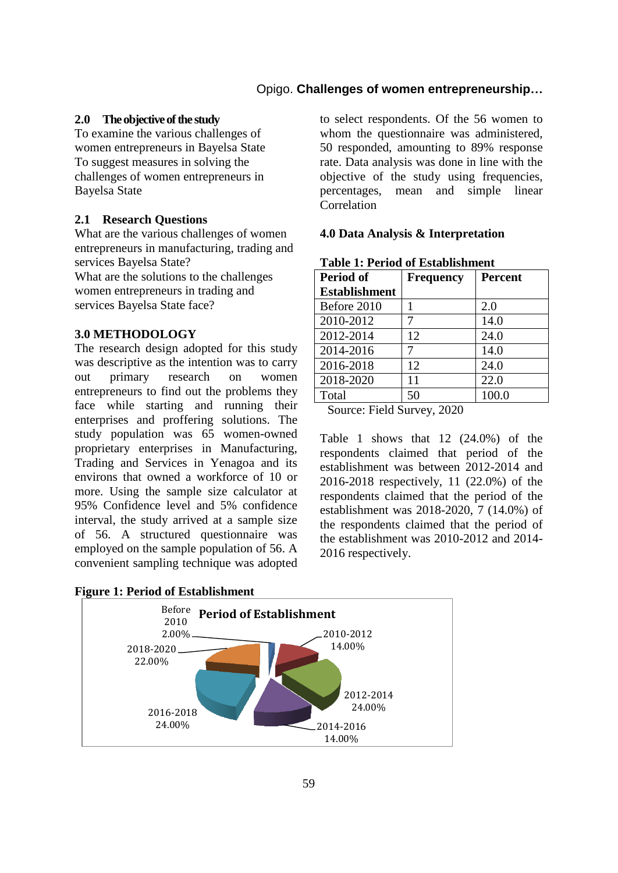#### **2.0** The objective of the study

To examine the various challenges of women entrepreneurs in Bayelsa State To suggest measures in solving the challenges of women entrepreneurs in Bayelsa State

## **2.1 Research Questions**

What are the various challenges of women entrepreneurs in manufacturing, trading and services Bayelsa State?

What are the solutions to the challenges women entrepreneurs in trading and services Bayelsa State face?

#### **3.0 METHODOLOGY**

The research design adopted for this study was descriptive as the intention was to carry out primary research on women entrepreneurs to find out the problems they face while starting and running their enterprises and proffering solutions. The study population was 65 women-owned proprietary enterprises in Manufacturing, Trading and Services in Yenagoa and its environs that owned a workforce of 10 or more. Using the sample size calculator at 95% Confidence level and 5% confidence interval, the study arrived at a sample size of 56. A structured questionnaire was employed on the sample population of 56. A convenient sampling technique was adopted

to select respondents. Of the 56 women to whom the questionnaire was administered, 50 responded, amounting to 89% response rate. Data analysis was done in line with the objective of the study using frequencies, percentages, mean and simple linear **Correlation** 

#### **4.0 Data Analysis & Interpretation**

| Period of            | <b>Frequency</b> | <b>Percent</b> |
|----------------------|------------------|----------------|
| <b>Establishment</b> |                  |                |
| Before 2010          |                  | 2.0            |
| 2010-2012            |                  | 14.0           |
| 2012-2014            | 12               | 24.0           |
| 2014-2016            | 7                | 14.0           |
| 2016-2018            | 12               | 24.0           |
| 2018-2020            | 11               | 22.0           |
| Total                | 50               | 100.0          |

# **Table 1: Period of Establishment**

Source: Field Survey, 2020

Table 1 shows that 12 (24.0%) of the respondents claimed that period of the establishment was between 2012-2014 and 2016-2018 respectively, 11 (22.0%) of the respondents claimed that the period of the establishment was 2018-2020, 7 (14.0%) of the respondents claimed that the period of the establishment was 2010-2012 and 2014- 2016 respectively.

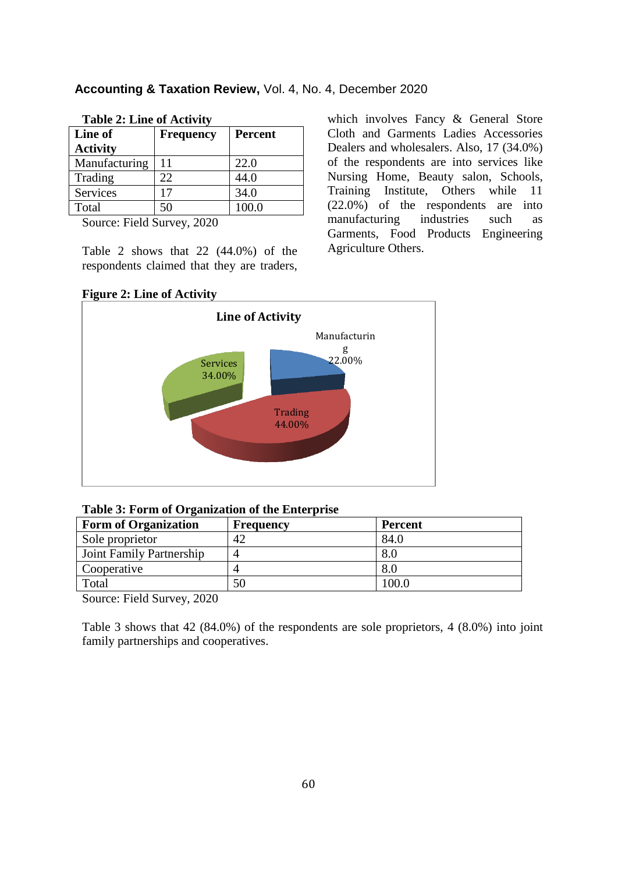| <b>Accounting &amp; Taxation Review, Vol. 4, No. 4, December 2020</b> |  |
|-----------------------------------------------------------------------|--|
|-----------------------------------------------------------------------|--|

which involves Fancy & General Store Cloth and Garments Ladies Accessories Dealers and wholesalers. Also, 17 (34.0%) of the respondents are into services like Nursing Home, Beauty salon, Schools, Training Institute, Others while 11 (22.0%) of the respondents are into manufacturing industries such as Garments, Food Products Engineering

Agriculture Others.

| Table 2. Lille of Activity |                  |                |  |
|----------------------------|------------------|----------------|--|
| Line of                    | <b>Frequency</b> | <b>Percent</b> |  |
| <b>Activity</b>            |                  |                |  |
| Manufacturing              | 11               | 22.0           |  |
| Trading                    | 22.              | 44.0           |  |
| Services                   | 17               | 34.0           |  |
| Total                      | 50               | 100.0          |  |

**Table 2: Line of Activity**

Source: Field Survey, 2020

Table 2 shows that 22 (44.0%) of the respondents claimed that they are traders,

## **Figure 2: Line of Activity**



| Table 3: Form of Organization of the Enterprise |  |  |  |
|-------------------------------------------------|--|--|--|
|-------------------------------------------------|--|--|--|

| <b>Form of Organization</b>     | Frequency | Percent |
|---------------------------------|-----------|---------|
| Sole proprietor                 | 42        | 84.0    |
| <b>Joint Family Partnership</b> |           | 8.0     |
| Cooperative                     |           | 8.0     |
| Total                           | 50        | 100.0   |
| $\alpha$ $\Gamma$ 110 $\Omega$  |           |         |

Source: Field Survey, 2020

Table 3 shows that 42 (84.0%) of the respondents are sole proprietors, 4 (8.0%) into joint family partnerships and cooperatives.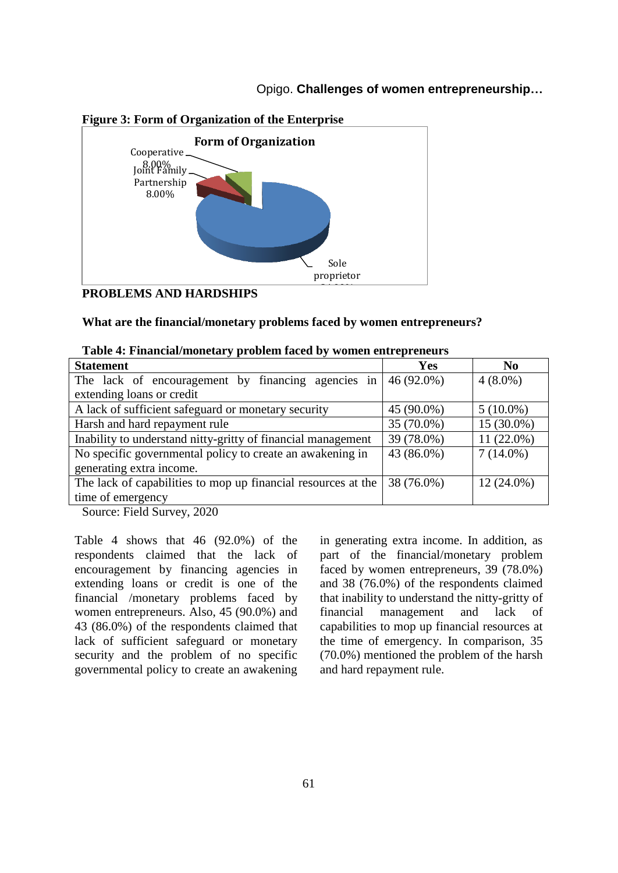

## **Figure 3: Form of Organization of the Enterprise**

#### **PROBLEMS AND HARDSHIPS**

#### **What are the financial/monetary problems faced by women entrepreneurs?**

| <b>Statement</b>                                                                                                                      | Yes        | N <sub>0</sub> |
|---------------------------------------------------------------------------------------------------------------------------------------|------------|----------------|
| The lack of encouragement by financing agencies in                                                                                    | 46 (92.0%) | $4(8.0\%)$     |
| extending loans or credit                                                                                                             |            |                |
| A lack of sufficient safeguard or monetary security                                                                                   | 45 (90.0%) | $5(10.0\%)$    |
| Harsh and hard repayment rule                                                                                                         | 35 (70.0%) | 15 (30.0%)     |
| Inability to understand nitty-gritty of financial management                                                                          | 39 (78.0%) | 11 (22.0%)     |
| No specific governmental policy to create an awakening in                                                                             | 43 (86.0%) | $7(14.0\%)$    |
| generating extra income.                                                                                                              |            |                |
| The lack of capabilities to mop up financial resources at the                                                                         | 38 (76.0%) | $12(24.0\%)$   |
| time of emergency                                                                                                                     |            |                |
| $\mathcal{C}_{\text{out}}$ $\mathcal{C}_{\text{in}}$ $\mathcal{C}_{\text{out}}$ $\mathcal{C}_{\text{out}}$ $\mathcal{C}_{\text{out}}$ |            |                |

|  |  |  | Table 4: Financial/monetary problem faced by women entrepreneurs |
|--|--|--|------------------------------------------------------------------|
|  |  |  |                                                                  |

Source: Field Survey, 2020

Table 4 shows that 46 (92.0%) of the respondents claimed that the lack of encouragement by financing agencies in extending loans or credit is one of the financial /monetary problems faced by women entrepreneurs. Also, 45 (90.0%) and 43 (86.0%) of the respondents claimed that lack of sufficient safeguard or monetary security and the problem of no specific governmental policy to create an awakening

in generating extra income. In addition, as part of the financial/monetary problem faced by women entrepreneurs, 39 (78.0%) and 38 (76.0%) of the respondents claimed that inability to understand the nitty-gritty of financial management and lack of capabilities to mop up financial resources at the time of emergency. In comparison, 35 (70.0%) mentioned the problem of the harsh and hard repayment rule.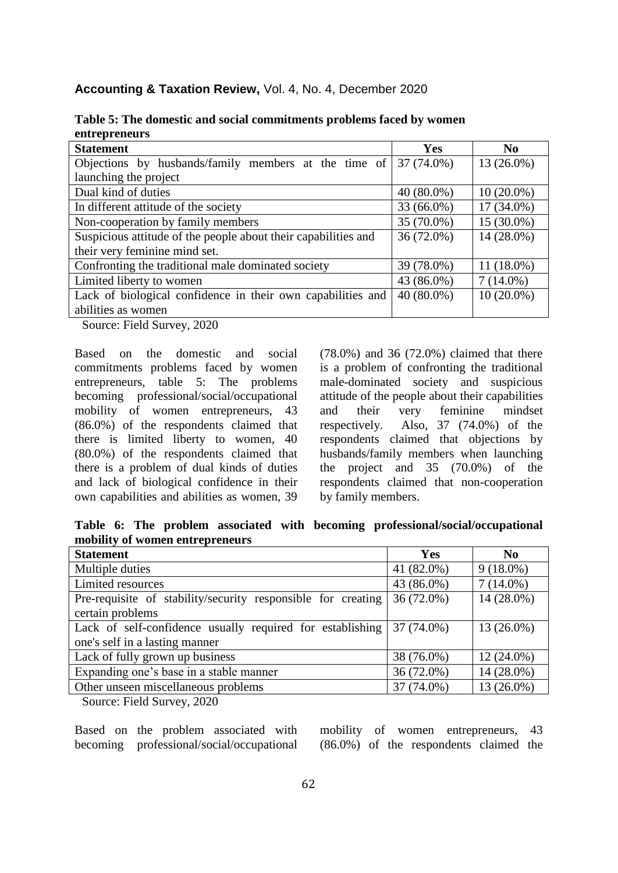|  | Accounting & Taxation Review, Vol. 4, No. 4, December 2020 |  |  |  |  |
|--|------------------------------------------------------------|--|--|--|--|
|--|------------------------------------------------------------|--|--|--|--|

| <b>Statement</b>                                                 | <b>Yes</b>   | $\bf No$     |
|------------------------------------------------------------------|--------------|--------------|
| Objections by husbands/family members at the time of             | 37 (74.0%)   | 13 (26.0%)   |
| launching the project                                            |              |              |
| Dual kind of duties                                              | $40(80.0\%)$ | $10(20.0\%)$ |
| In different attitude of the society                             | 33 (66.0%)   | $17(34.0\%)$ |
| Non-cooperation by family members                                | 35 (70.0%)   | 15 (30.0%)   |
| Suspicious attitude of the people about their capabilities and   | 36 (72.0%)   | $14(28.0\%)$ |
| their very feminine mind set.                                    |              |              |
| Confronting the traditional male dominated society               | 39 (78.0%)   | $11(18.0\%)$ |
| Limited liberty to women                                         | 43 (86.0%)   | $7(14.0\%)$  |
| Lack of biological confidence in their own capabilities and      | $40(80.0\%)$ | $10(20.0\%)$ |
| abilities as women                                               |              |              |
| $\bullet \bullet \bullet \bullet$<br>$\sim$ $\sim$ $\sim$ $\sim$ |              |              |

**Table 5: The domestic and social commitments problems faced by women entrepreneurs**

Source: Field Survey, 2020

Based on the domestic and social commitments problems faced by women entrepreneurs, table 5: The problems becoming professional/social/occupational mobility of women entrepreneurs, 43 (86.0%) of the respondents claimed that there is limited liberty to women, 40 (80.0%) of the respondents claimed that there is a problem of dual kinds of duties and lack of biological confidence in their own capabilities and abilities as women, 39

(78.0%) and 36 (72.0%) claimed that there is a problem of confronting the traditional male-dominated society and suspicious attitude of the people about their capabilities and their very feminine mindset respectively. Also, 37 (74.0%) of the respondents claimed that objections by husbands/family members when launching the project and 35 (70.0%) of the respondents claimed that non-cooperation by family members.

**Table 6: The problem associated with becoming professional/social/occupational mobility of women entrepreneurs**

| <b>Statement</b>                                             | Yes          | No           |
|--------------------------------------------------------------|--------------|--------------|
| Multiple duties                                              | 41 (82.0%)   | $9(18.0\%)$  |
| Limited resources                                            | 43 (86.0%)   | $7(14.0\%)$  |
| Pre-requisite of stability/security responsible for creating | $36(72.0\%)$ | $14(28.0\%)$ |
| certain problems                                             |              |              |
| Lack of self-confidence usually required for establishing    | $37(74.0\%)$ | $13(26.0\%)$ |
| one's self in a lasting manner                               |              |              |
| Lack of fully grown up business                              | 38 (76.0%)   | $12(24.0\%)$ |
| Expanding one's base in a stable manner                      | 36 (72.0%)   | 14 (28.0%)   |
| Other unseen miscellaneous problems                          | 37 (74.0%)   | $13(26.0\%)$ |
| $\alpha$ $\Gamma$ 110 $\alpha$                               |              |              |

Source: Field Survey, 2020

Based on the problem associated with becoming professional/social/occupational mobility of women entrepreneurs, 43 (86.0%) of the respondents claimed the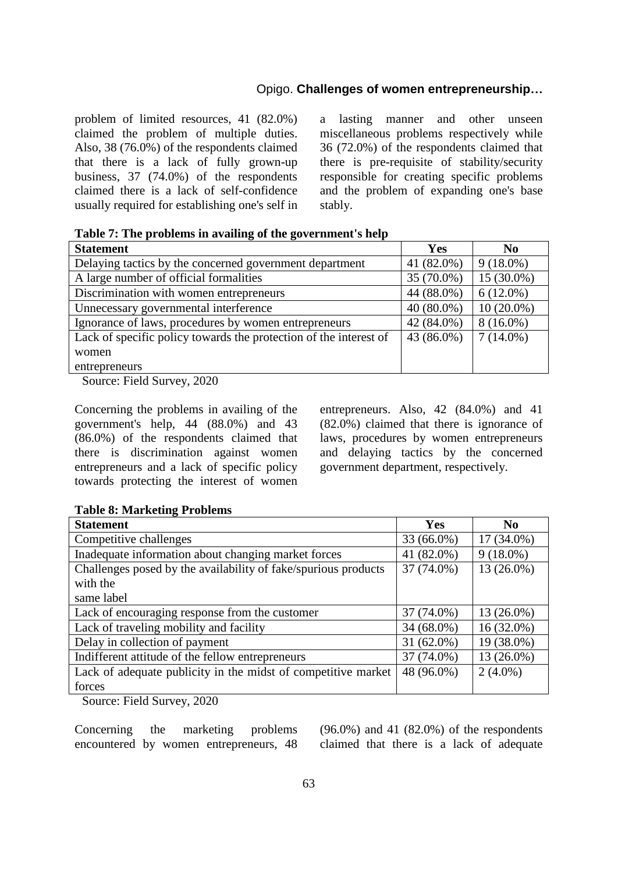problem of limited resources, 41 (82.0%) claimed the problem of multiple duties. Also, 38 (76.0%) of the respondents claimed that there is a lack of fully grown-up business, 37 (74.0%) of the respondents claimed there is a lack of self-confidence usually required for establishing one's self in a lasting manner and other unseen miscellaneous problems respectively while 36 (72.0%) of the respondents claimed that there is pre-requisite of stability/security responsible for creating specific problems and the problem of expanding one's base stably.

**Table 7: The problems in availing of the government's help**

| <b>Statement</b>                                                  | Yes          | N <sub>0</sub> |
|-------------------------------------------------------------------|--------------|----------------|
| Delaying tactics by the concerned government department           | 41 (82.0%)   | $9(18.0\%)$    |
| A large number of official formalities                            | 35 (70.0%)   | $15(30.0\%)$   |
| Discrimination with women entrepreneurs                           | 44 (88.0%)   | $6(12.0\%)$    |
| Unnecessary governmental interference                             | $40(80.0\%)$ | $10(20.0\%)$   |
| Ignorance of laws, procedures by women entrepreneurs              | 42 (84.0%)   | $8(16.0\%)$    |
| Lack of specific policy towards the protection of the interest of | 43 (86.0%)   | $7(14.0\%)$    |
| women                                                             |              |                |
| entrepreneurs                                                     |              |                |

Source: Field Survey, 2020

Concerning the problems in availing of the government's help, 44 (88.0%) and 43 (86.0%) of the respondents claimed that there is discrimination against women entrepreneurs and a lack of specific policy towards protecting the interest of women entrepreneurs. Also, 42 (84.0%) and 41 (82.0%) claimed that there is ignorance of laws, procedures by women entrepreneurs and delaying tactics by the concerned government department, respectively.

#### **Table 8: Marketing Problems**

| <b>Statement</b>                                               | Yes        | N <sub>0</sub> |
|----------------------------------------------------------------|------------|----------------|
| Competitive challenges                                         | 33 (66.0%) | $17(34.0\%)$   |
| Inadequate information about changing market forces            | 41 (82.0%) | $9(18.0\%)$    |
| Challenges posed by the availability of fake/spurious products | 37 (74.0%) | 13 (26.0%)     |
| with the                                                       |            |                |
| same label                                                     |            |                |
| Lack of encouraging response from the customer                 | 37 (74.0%) | $13(26.0\%)$   |
| Lack of traveling mobility and facility                        | 34 (68.0%) | 16 (32.0%)     |
| Delay in collection of payment                                 | 31 (62.0%) | 19 (38.0%)     |
| Indifferent attitude of the fellow entrepreneurs               | 37 (74.0%) | 13 (26.0%)     |
| Lack of adequate publicity in the midst of competitive market  | 48 (96.0%) | $2(4.0\%)$     |
| forces                                                         |            |                |

Source: Field Survey, 2020

Concerning the marketing problems encountered by women entrepreneurs, 48 (96.0%) and 41 (82.0%) of the respondents claimed that there is a lack of adequate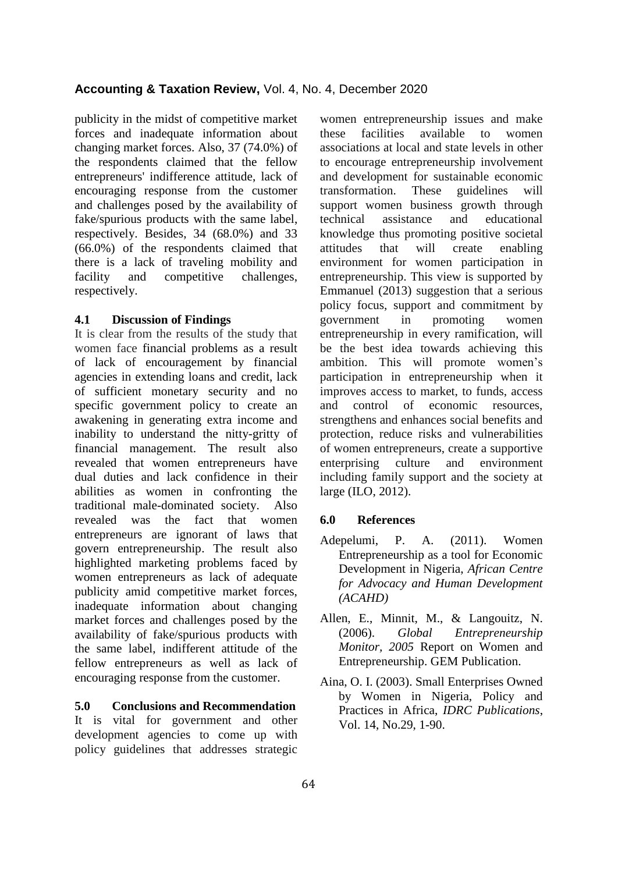publicity in the midst of competitive market forces and inadequate information about changing market forces. Also, 37 (74.0%) of the respondents claimed that the fellow entrepreneurs' indifference attitude, lack of encouraging response from the customer and challenges posed by the availability of fake/spurious products with the same label, respectively. Besides, 34 (68.0%) and 33 (66.0%) of the respondents claimed that there is a lack of traveling mobility and facility and competitive challenges, respectively.

#### **4.1 Discussion of Findings**

It is clear from the results of the study that women face financial problems as a result of lack of encouragement by financial agencies in extending loans and credit, lack of sufficient monetary security and no specific government policy to create an awakening in generating extra income and inability to understand the nitty-gritty of financial management. The result also revealed that women entrepreneurs have dual duties and lack confidence in their abilities as women in confronting the traditional male-dominated society. Also revealed was the fact that women entrepreneurs are ignorant of laws that govern entrepreneurship. The result also highlighted marketing problems faced by women entrepreneurs as lack of adequate publicity amid competitive market forces, inadequate information about changing market forces and challenges posed by the availability of fake/spurious products with the same label, indifferent attitude of the fellow entrepreneurs as well as lack of encouraging response from the customer.

#### **5.0 Conclusions and Recommendation**

It is vital for government and other development agencies to come up with policy guidelines that addresses strategic

women entrepreneurship issues and make these facilities available to women associations at local and state levels in other to encourage entrepreneurship involvement and development for sustainable economic transformation. These guidelines will support women business growth through technical assistance and educational knowledge thus promoting positive societal attitudes that will create enabling environment for women participation in entrepreneurship. This view is supported by Emmanuel (2013) suggestion that a serious policy focus, support and commitment by government in promoting women entrepreneurship in every ramification, will be the best idea towards achieving this ambition. This will promote women's participation in entrepreneurship when it improves access to market, to funds, access and control of economic resources, strengthens and enhances social benefits and protection, reduce risks and vulnerabilities of women entrepreneurs, create a supportive enterprising culture and environment including family support and the society at large (ILO, 2012).

#### **6.0 References**

- Adepelumi, P. A. (2011). Women Entrepreneurship as a tool for Economic Development in Nigeria, *African Centre for Advocacy and Human Development (ACAHD)*
- Allen, E., Minnit, M., & Langouitz, N. (2006). *Global Entrepreneurship Monitor, 2005* Report on Women and Entrepreneurship. GEM Publication.
- Aina, O. I. (2003). Small Enterprises Owned by Women in Nigeria, Policy and Practices in Africa, *IDRC Publications*, Vol. 14, No.29, 1-90.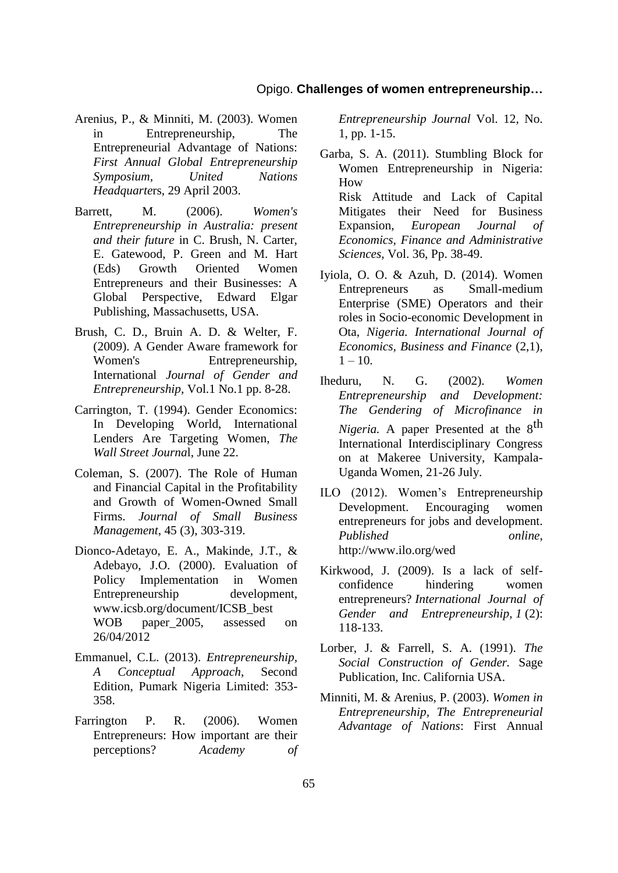- Arenius, P., & Minniti, M. (2003). Women in Entrepreneurship, The Entrepreneurial Advantage of Nations: *First Annual Global Entrepreneurship Symposium, United Nations Headquarte*rs, 29 April 2003.
- Barrett, M. (2006). *Women's Entrepreneurship in Australia: present and their future* in C. Brush, N. Carter, E. Gatewood, P. Green and M. Hart (Eds) Growth Oriented Women Entrepreneurs and their Businesses: A Global Perspective, Edward Elgar Publishing, Massachusetts, USA.
- Brush, C. D., Bruin A. D. & Welter, F. (2009). A Gender Aware framework for Women's Entrepreneurship, International *Journal of Gender and Entrepreneurship*, Vol.1 No.1 pp. 8-28.
- Carrington, T. (1994). Gender Economics: In Developing World, International Lenders Are Targeting Women, *The Wall Street Journa*l, June 22.
- Coleman, S. (2007). The Role of Human and Financial Capital in the Profitability and Growth of Women-Owned Small Firms. *Journal of Small Business Management*, 45 (3), 303-319.
- Dionco-Adetayo, E. A., Makinde, J.T., & Adebayo, J.O. (2000). Evaluation of Policy Implementation in Women Entrepreneurship development, www.icsb.org/document/ICSB\_best WOB paper\_2005, assessed on 26/04/2012
- Emmanuel, C.L. (2013). *Entrepreneurship, A Conceptual Approach*, Second Edition, Pumark Nigeria Limited: 353- 358.
- Farrington P. R. (2006). Women Entrepreneurs: How important are their perceptions? *Academy of*

*Entrepreneurship Journal* Vol. 12, No. 1, pp. 1-15.

- Garba, S. A. (2011). Stumbling Block for Women Entrepreneurship in Nigeria: How Risk Attitude and Lack of Capital Mitigates their Need for Business Expansion, *European Journal of Economics, Finance and Administrative Sciences*, Vol. 36, Pp. 38-49.
- Iyiola, O. O. & Azuh, D. (2014). Women Entrepreneurs as Small-medium Enterprise (SME) Operators and their roles in Socio-economic Development in Ota, *Nigeria. International Journal of Economics, Business and Finance* (2,1),  $1 - 10$ .
- Iheduru, N. G. (2002). *Women Entrepreneurship and Development: The Gendering of Microfinance in Nigeria.* A paper Presented at the 8<sup>th</sup> International Interdisciplinary Congress on at Makeree University, Kampala-Uganda Women, 21-26 July.
- ILO (2012). Women's Entrepreneurship Development. Encouraging women entrepreneurs for jobs and development. *Published online*, http://www.ilo.org/wed
- Kirkwood, J. (2009). Is a lack of selfconfidence hindering women entrepreneurs? *International Journal of Gender and Entrepreneurship, 1* (2): 118-133.
- Lorber, J. & Farrell, S. A. (1991). *The Social Construction of Gender.* Sage Publication, Inc. California USA.
- Minniti, M. & Arenius, P. (2003). *Women in Entrepreneurship, The Entrepreneurial Advantage of Nations*: First Annual